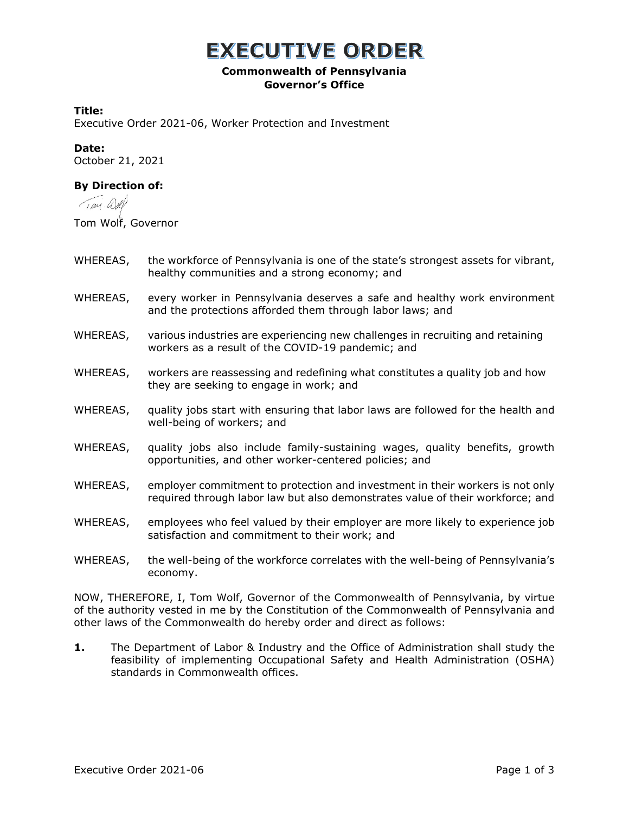## **EXECUTIVE ORDER**

### **Commonwealth of Pennsylvania Governor's Office**

#### **Title:**

Executive Order 2021-06, Worker Protection and Investment

#### **Date:**

October 21, 2021

### **By Direction of:**

Tan Well

Tom Wolf, Governor

- WHEREAS, the workforce of Pennsylvania is one of the state's strongest assets for vibrant, healthy communities and a strong economy; and
- WHEREAS, every worker in Pennsylvania deserves a safe and healthy work environment and the protections afforded them through labor laws; and
- WHEREAS, various industries are experiencing new challenges in recruiting and retaining workers as a result of the COVID-19 pandemic; and
- WHEREAS, workers are reassessing and redefining what constitutes a quality job and how they are seeking to engage in work; and
- WHEREAS, quality jobs start with ensuring that labor laws are followed for the health and well-being of workers; and
- WHEREAS, quality jobs also include family-sustaining wages, quality benefits, growth opportunities, and other worker-centered policies; and
- WHEREAS, employer commitment to protection and investment in their workers is not only required through labor law but also demonstrates value of their workforce; and
- WHEREAS, employees who feel valued by their employer are more likely to experience job satisfaction and commitment to their work; and
- WHEREAS, the well-being of the workforce correlates with the well-being of Pennsylvania's economy.

NOW, THEREFORE, I, Tom Wolf, Governor of the Commonwealth of Pennsylvania, by virtue of the authority vested in me by the Constitution of the Commonwealth of Pennsylvania and other laws of the Commonwealth do hereby order and direct as follows:

**1.** The Department of Labor & Industry and the Office of Administration shall study the feasibility of implementing Occupational Safety and Health Administration (OSHA) standards in Commonwealth offices.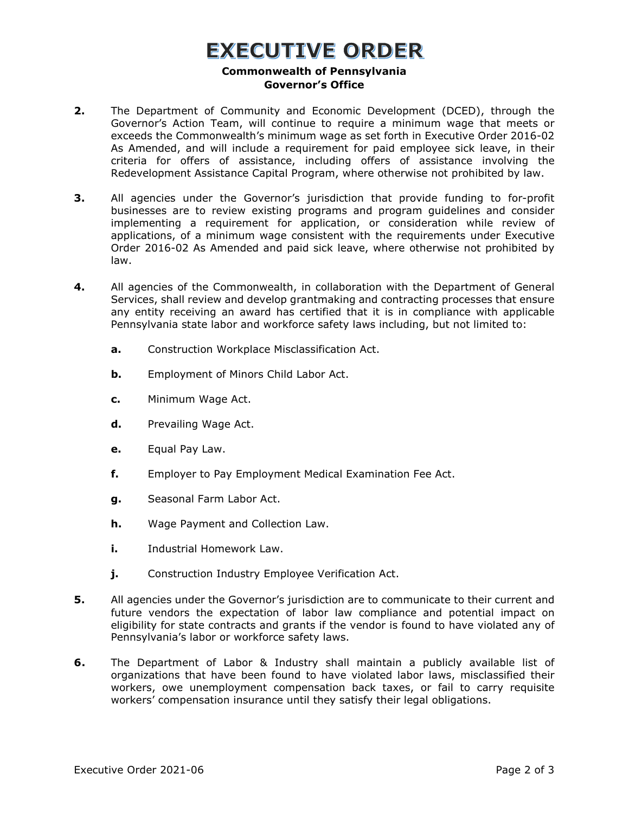## **EXECUTIVE ORDER**

#### **Commonwealth of Pennsylvania Governor's Office**

- **2.** The Department of Community and Economic Development (DCED), through the Governor's Action Team, will continue to require a minimum wage that meets or exceeds the Commonwealth's minimum wage as set forth in Executive Order 2016-02 As Amended, and will include a requirement for paid employee sick leave, in their criteria for offers of assistance, including offers of assistance involving the Redevelopment Assistance Capital Program, where otherwise not prohibited by law.
- **3.** All agencies under the Governor's jurisdiction that provide funding to for-profit businesses are to review existing programs and program guidelines and consider implementing a requirement for application, or consideration while review of applications, of a minimum wage consistent with the requirements under Executive Order 2016-02 As Amended and paid sick leave, where otherwise not prohibited by law.
- **4.** All agencies of the Commonwealth, in collaboration with the Department of General Services, shall review and develop grantmaking and contracting processes that ensure any entity receiving an award has certified that it is in compliance with applicable Pennsylvania state labor and workforce safety laws including, but not limited to:
	- **a.** Construction Workplace Misclassification Act.
	- **b.** Employment of Minors Child Labor Act.
	- **c.** Minimum Wage Act.
	- **d.** Prevailing Wage Act.
	- **e.** Equal Pay Law.
	- **f.** Employer to Pay Employment Medical Examination Fee Act.
	- **g.** Seasonal Farm Labor Act.
	- **h.** Wage Payment and Collection Law.
	- **i.** Industrial Homework Law.
	- **j.** Construction Industry Employee Verification Act.
- **5.** All agencies under the Governor's jurisdiction are to communicate to their current and future vendors the expectation of labor law compliance and potential impact on eligibility for state contracts and grants if the vendor is found to have violated any of Pennsylvania's labor or workforce safety laws.
- **6.** The Department of Labor & Industry shall maintain a publicly available list of organizations that have been found to have violated labor laws, misclassified their workers, owe unemployment compensation back taxes, or fail to carry requisite workers' compensation insurance until they satisfy their legal obligations.